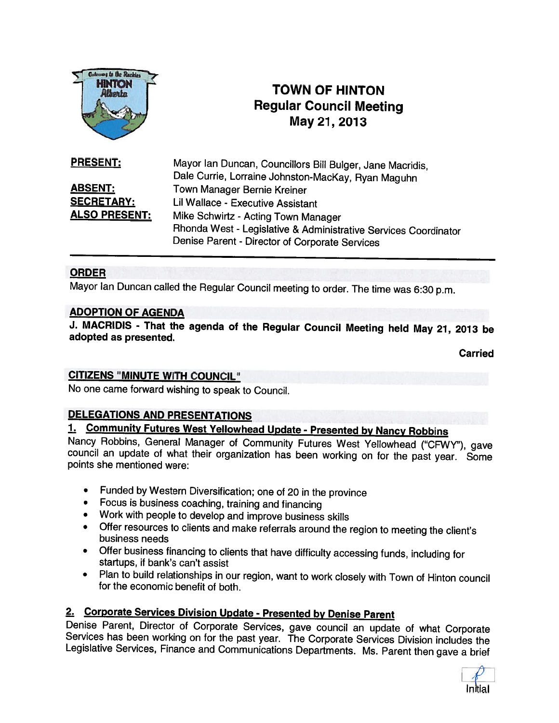

# TOWN OF HINTON Regular Council Meeting May21, 2013

Mayor Ian Duncan, Councillors Bill Bulger, Jane Macridis, Dale Currie, Lorraine Johnston-MacKay, Ryan Maguhn ABSENT: Town Manager Bernie Kreiner SECRETARY: Lil Wallace - Executive Assistant ALSO PRESENT: Mike Schwirtz - Acting Town Manager Rhonda West - Legislative & Administrative Services Coordinator Denise Parent - Director of Corporate Services PRESENT:

## ORDER

Mayor Ian Duncan called the Regular Council meeting to order. The time was 6:30 p.m.

#### ADOPTION OF AGENDA

J. MACRIDIS - That the agenda of the Regular Council Meeting held May 21, 2013 be adopted as presented.

**Carried** 

#### CITIZENS "MINUTE WITH COUNCIL"

No one came forward wishing to speak to Council.

## DELEGATIONS AND PRESENTATIONS

1. Community Futures West Yellowhead Update - Presented by Nancy Robbins<br>Nancy Robbins, General Manager of Community Futures West Yellowhead ("CFWY"), gave council an update of what their organization has been working on for the past year. Some points she mentioned were:

- Funded by Western Diversification; one of <sup>20</sup> in the province
- Focus is business coaching, training and financing
- Work with people to develop and improve business skills
- Offer resources to clients and make referrals around the region to meeting the client's business needs
- Offer business financing to clients that have difficulty accessing funds, including for startups, if bank's can't assist
- Plan to build relationships in our region, want to work closely with Town of Hinton council for the economic benefit of both.

2. Corporate Services Division Update - Presented by Denise Parent<br>Denise Parent, Director of Corporate Services, gave council an update of what Corporate Services has been working on for the past year. The Corporate Services Division includes the<br>Legislative Services, Finance and Communications Departments. Ms. Parent then gave a brief

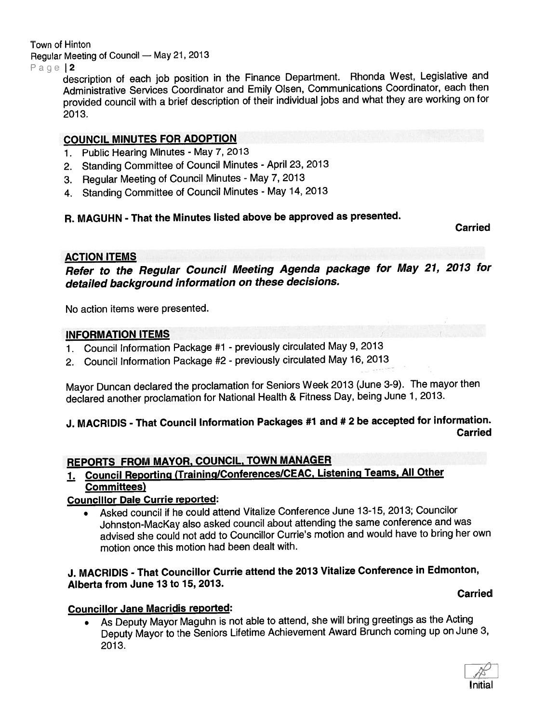Town of Hinton

Regular Meeting of Council — May 21, <sup>2013</sup>

Page 2

description of each job position in the Finance Department. Rhonda West, Legislative and Administrative Services Coordinator and Emily Olsen, Communications Coordinator, each then provided council with <sup>a</sup> brief description of their individual jobs and what they are working on for 2013.

# COUNCIL MINUTES FOR ADOPTION

- 1. Public Hearing Minutes May 7,2013
- 2. Standing Committee of Council Minutes April 23, <sup>2013</sup>
- 3. Regular Meeting of Council Minutes May 7, 2013
- 4. Standing Committee of Council Minutes May 14, <sup>2013</sup>

# R. MAGUHN - That the Minutes listed above be approved as presented.

Carried

# ACTION ITEMS

Refer to the Regular Council Meeting Agenda package for May 21, <sup>2013</sup> for detailed background information on these decisions.

No action items were presented.

# INFORMATION ITEMS

- 1. Council Information Package #1 previously circulated May 9, <sup>2013</sup>
- 2. Council Information Package #2 previously circulated May 16, <sup>2013</sup>

Mayor Duncan declared the proclamation for Seniors Week <sup>2013</sup> (June 3-9). The mayor then declared another proclamation for National Health & Fitness Day, being June 1, 2013.

## J. MACRIDIS - That Council Information Packages #1 and # <sup>2</sup> be accepted for information. Carried

# REPORTS FROM MAYOR, COUNCIL, TOWN MANAGER

1. Council Reporting (Training/Conferences/CEAC, Listening Teams, All Other Committees)

# Councillor Dale Currie reported:

 Asked council if he could attend Vitalize Conference June 13-15, 2013; Councilor Johnston-MacKay also asked council about attending the same conference and was advised she could not add to Councillor Currie's motion and would have to bring her own motion once this motion had been dealt with.

# J. MACRIDIS - That Councillor Currie attend the <sup>2013</sup> Vitalize Conference in Edmonton, Alberta from June 13 to 15, 2013.

# Carried

# Councillor Jane Macridis reported:

 As Deputy Mayor Maguhn is not able to attend, she will bring greetings as the Acting Deputy Mayor to the Seniors Lifetime Achievement Award Brunch coming up on June 3, 2013.

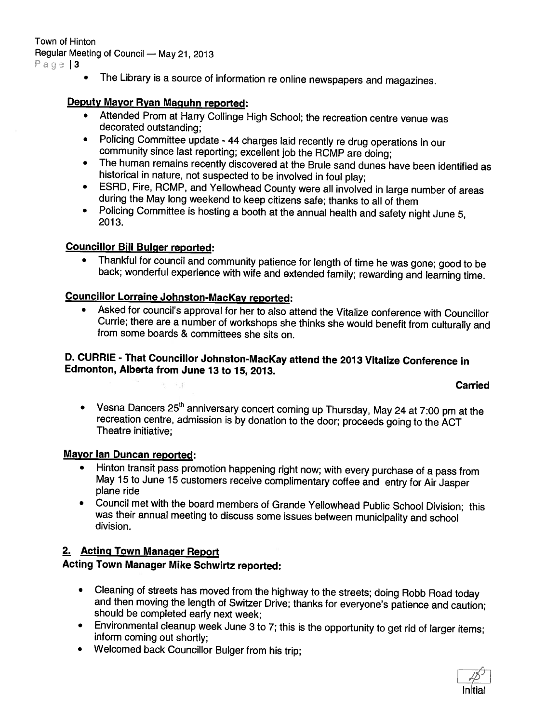The Library is <sup>a</sup> source of information re online newspapers and magazines.

### Deputy Mayor Ryan Maguhn reported:

- Attended Prom at Harry Collinge High School; the recreation centre venue was decorated outstanding;
- Policing Committee update <sup>44</sup> charges laid recently re drug operations in our community since last reporting; excellent job the ROMP are doing;
- The human remains recently discovered at the Brule sand dunes have been identified as historical in nature, not suspected to be involved in foul <sup>p</sup>lay;
- ESRD, Fire, ROMP, and Yellowhead County were all involved in large number of areas during the May long weekend to keep citizens safe; thanks to all of them
- Policing Committee is hosting <sup>a</sup> booth at the annual health and safety night June 5, 2013.

## Councillor Bill Bulger reported:

Thankful for council and community patience for length of time he was gone; good to be back; wonderful experience with wife and extended family; rewarding and learning time.

# Councillor Lorraine Johnston-Mackay reported:

• Asked for council's approval for her to also attend the Vitalize conference with Councillor Currie; there are <sup>a</sup> number of workshops she thinks she would benefit from culturally and from some boards & committees she sits on.

#### D. CURRIE - That Councillor Johnston-Mackay attend the <sup>2013</sup> Vitalize Conference in Edmonton, Alberta from June 13 to 15, 2013.

#### Carried

Vesna Dancers 25<sup>th</sup> anniversary concert coming up Thursday, May 24 at 7:00 pm at the recreation centre, admission is by donation to the door; proceeds going to the ACT<br>Theatre initiative;

# Mayor Ian Duncan reported:

- • Hinton transit pass promotion happening right now; with every purchase of <sup>a</sup> pass from May <sup>15</sup> to June <sup>15</sup> customers receive complimentary coffee and entry for Air Jasper plane ride
- • Council met with the board members of Grande Yellowhead Public School Division; this was their annual meeting to discuss some issues between municipality and school division.

#### 2. Acting Town Manager Report

# Acting Town Manager Mike Schwirtz reported:

- •Cleaning of streets has moved from the highway to the streets; doing Robb Road today and then moving the length of Switzer Drive; thanks for everyone's patience and caution; should be completed early next week;
- •Environmental cleanup week June <sup>3</sup> to 7; this is the opportunity to get rid of larger items; inform coming out shortly;
- Welcomed back Councillor Bulger from his trip;